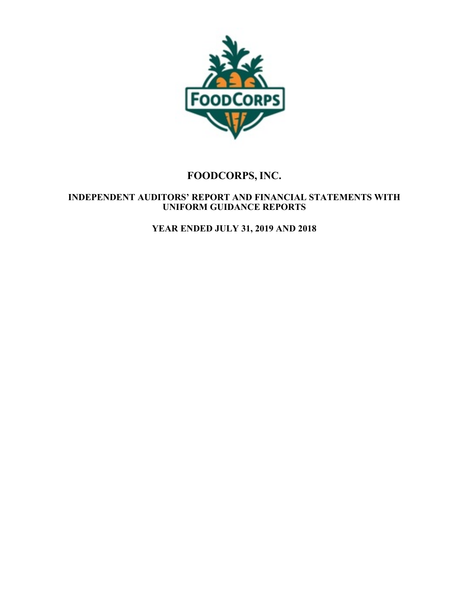

# **INDEPENDENT AUDITORS' REPORT AND FINANCIAL STATEMENTS WITH UNIFORM GUIDANCE REPORTS**

**YEAR ENDED JULY 31, 2019 AND 2018**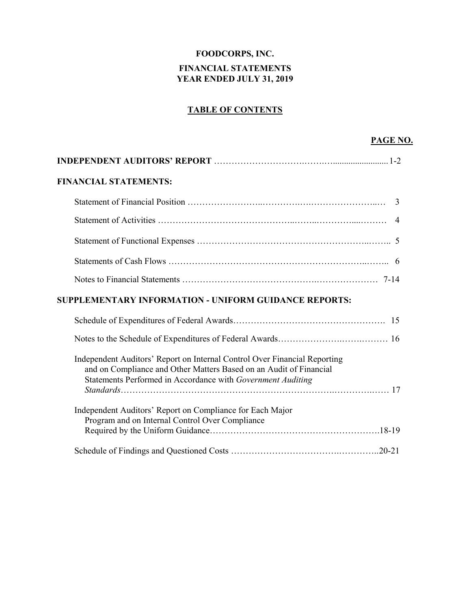# **FOODCORPS, INC. FINANCIAL STATEMENTS YEAR ENDED JULY 31, 2019**

# **TABLE OF CONTENTS**

# **PAGE NO.**

| <b>FINANCIAL STATEMENTS:</b>                                                                                                                                                                                   |
|----------------------------------------------------------------------------------------------------------------------------------------------------------------------------------------------------------------|
|                                                                                                                                                                                                                |
| $\overline{4}$                                                                                                                                                                                                 |
|                                                                                                                                                                                                                |
|                                                                                                                                                                                                                |
|                                                                                                                                                                                                                |
| <b>SUPPLEMENTARY INFORMATION - UNIFORM GUIDANCE REPORTS:</b>                                                                                                                                                   |
|                                                                                                                                                                                                                |
|                                                                                                                                                                                                                |
|                                                                                                                                                                                                                |
| Independent Auditors' Report on Internal Control Over Financial Reporting<br>and on Compliance and Other Matters Based on an Audit of Financial<br>Statements Performed in Accordance with Government Auditing |
| Independent Auditors' Report on Compliance for Each Major<br>Program and on Internal Control Over Compliance                                                                                                   |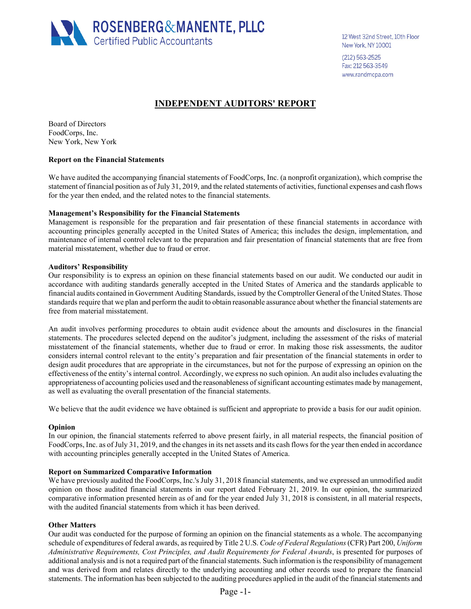

12 West 32nd Street, 10th Floor New York, NY 10001

(212) 563-2525 Fax: 212 563-3549 www.randmcpa.com

# **INDEPENDENT AUDITORS' REPORT**

Board of Directors FoodCorps, Inc. New York, New York

#### **Report on the Financial Statements**

We have audited the accompanying financial statements of FoodCorps, Inc. (a nonprofit organization), which comprise the statement of financial position as of July 31, 2019, and the related statements of activities, functional expenses and cash flows for the year then ended, and the related notes to the financial statements.

#### **Management's Responsibility for the Financial Statements**

Management is responsible for the preparation and fair presentation of these financial statements in accordance with accounting principles generally accepted in the United States of America; this includes the design, implementation, and maintenance of internal control relevant to the preparation and fair presentation of financial statements that are free from material misstatement, whether due to fraud or error.

#### **Auditors' Responsibility**

Our responsibility is to express an opinion on these financial statements based on our audit. We conducted our audit in accordance with auditing standards generally accepted in the United States of America and the standards applicable to financial audits contained in Government Auditing Standards, issued by the Comptroller General of the United States. Those standards require that we plan and perform the audit to obtain reasonable assurance about whether the financial statements are free from material misstatement.

An audit involves performing procedures to obtain audit evidence about the amounts and disclosures in the financial statements. The procedures selected depend on the auditor's judgment, including the assessment of the risks of material misstatement of the financial statements, whether due to fraud or error. In making those risk assessments, the auditor considers internal control relevant to the entity's preparation and fair presentation of the financial statements in order to design audit procedures that are appropriate in the circumstances, but not for the purpose of expressing an opinion on the effectiveness of the entity's internal control. Accordingly, we express no such opinion. An audit also includes evaluating the appropriateness of accounting policies used and the reasonableness of significant accounting estimates made by management, as well as evaluating the overall presentation of the financial statements.

We believe that the audit evidence we have obtained is sufficient and appropriate to provide a basis for our audit opinion.

#### **Opinion**

In our opinion, the financial statements referred to above present fairly, in all material respects, the financial position of FoodCorps, Inc. as of July 31, 2019, and the changes in its net assets and its cash flows for the year then ended in accordance with accounting principles generally accepted in the United States of America.

#### **Report on Summarized Comparative Information**

We have previously audited the FoodCorps, Inc.'s July 31, 2018 financial statements, and we expressed an unmodified audit opinion on those audited financial statements in our report dated February 21, 2019. In our opinion, the summarized comparative information presented herein as of and for the year ended July 31, 2018 is consistent, in all material respects, with the audited financial statements from which it has been derived.

#### **Other Matters**

Our audit was conducted for the purpose of forming an opinion on the financial statements as a whole. The accompanying schedule of expenditures of federal awards, as required by Title 2 U.S. *Code of Federal Regulations* (CFR) Part 200, *Uniform Administrative Requirements, Cost Principles, and Audit Requirements for Federal Awards*, is presented for purposes of additional analysis and is not a required part of the financial statements. Such information is the responsibility of management and was derived from and relates directly to the underlying accounting and other records used to prepare the financial statements. The information has been subjected to the auditing procedures applied in the audit of the financial statements and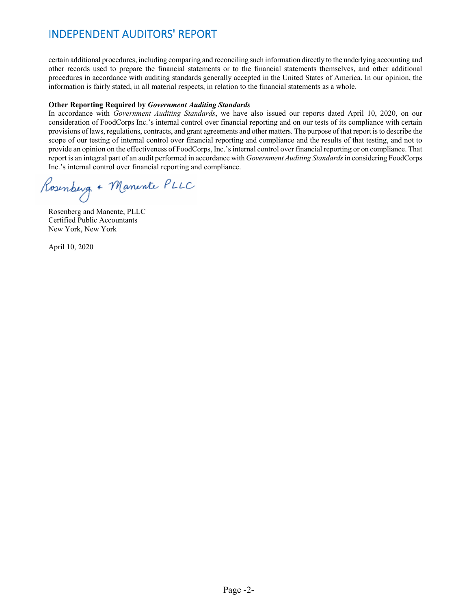# INDEPENDENT AUDITORS' REPORT

certain additional procedures, including comparing and reconciling such information directly to the underlying accounting and other records used to prepare the financial statements or to the financial statements themselves, and other additional procedures in accordance with auditing standards generally accepted in the United States of America. In our opinion, the information is fairly stated, in all material respects, in relation to the financial statements as a whole.

#### **Other Reporting Required by** *Government Auditing Standards*

In accordance with *Government Auditing Standards*, we have also issued our reports dated April 10, 2020, on our consideration of FoodCorps Inc.'s internal control over financial reporting and on our tests of its compliance with certain provisions of laws, regulations, contracts, and grant agreements and other matters. The purpose of that report is to describe the scope of our testing of internal control over financial reporting and compliance and the results of that testing, and not to provide an opinion on the effectiveness of FoodCorps, Inc.'s internal control over financial reporting or on compliance. That report is an integral part of an audit performed in accordance with *Government Auditing Standards* in considering FoodCorps Inc.'s internal control over financial reporting and compliance.

Rosenberg + Manente PLLC

Rosenberg and Manente, PLLC Certified Public Accountants New York, New York

April 10, 2020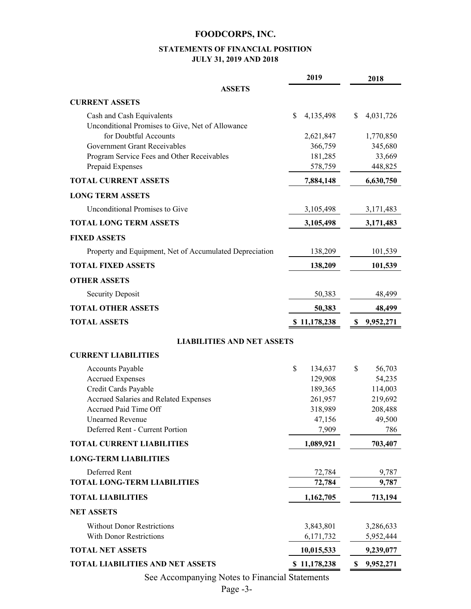# **STATEMENTS OF FINANCIAL POSITION JULY 31, 2019 AND 2018**

|                                                                               | 2019            | 2018            |
|-------------------------------------------------------------------------------|-----------------|-----------------|
| <b>ASSETS</b>                                                                 |                 |                 |
| <b>CURRENT ASSETS</b>                                                         |                 |                 |
| Cash and Cash Equivalents<br>Unconditional Promises to Give, Net of Allowance | \$<br>4,135,498 | \$<br>4,031,726 |
| for Doubtful Accounts                                                         | 2,621,847       | 1,770,850       |
| Government Grant Receivables                                                  | 366,759         | 345,680         |
| Program Service Fees and Other Receivables                                    | 181,285         | 33,669          |
| Prepaid Expenses                                                              | 578,759         | 448,825         |
| <b>TOTAL CURRENT ASSETS</b>                                                   | 7,884,148       | 6,630,750       |
| <b>LONG TERM ASSETS</b>                                                       |                 |                 |
| <b>Unconditional Promises to Give</b>                                         | 3,105,498       | 3,171,483       |
| <b>TOTAL LONG TERM ASSETS</b>                                                 | 3,105,498       | 3,171,483       |
| <b>FIXED ASSETS</b>                                                           |                 |                 |
| Property and Equipment, Net of Accumulated Depreciation                       | 138,209         | 101,539         |
| <b>TOTAL FIXED ASSETS</b>                                                     | 138,209         | 101,539         |
| <b>OTHER ASSETS</b>                                                           |                 |                 |
| Security Deposit                                                              | 50,383          | 48,499          |
| <b>TOTAL OTHER ASSETS</b>                                                     | 50,383          | 48,499          |
| <b>TOTAL ASSETS</b>                                                           | \$11,178,238    | 9,952,271<br>\$ |
| <b>LIABILITIES AND NET ASSETS</b>                                             |                 |                 |
| <b>CURRENT LIABILITIES</b>                                                    |                 |                 |
| Accounts Payable                                                              | \$<br>134,637   | \$<br>56,703    |
| <b>Accrued Expenses</b>                                                       | 129,908         | 54,235          |
| Credit Cards Payable                                                          | 189,365         | 114,003         |
| Accrued Salaries and Related Expenses                                         | 261,957         | 219,692         |
| Accrued Paid Time Off                                                         | 318,989         | 208,488         |
| <b>Unearned Revenue</b>                                                       | 47,156          | 49,500          |
| Deferred Rent - Current Portion                                               | 7,909           | 786             |
| <b>TOTAL CURRENT LIABILITIES</b>                                              | 1,089,921       | 703,407         |
| <b>LONG-TERM LIABILITIES</b>                                                  |                 |                 |
| Deferred Rent                                                                 | 72,784          | 9,787           |
| <b>TOTAL LONG-TERM LIABILITIES</b>                                            | 72,784          | 9,787           |
| <b>TOTAL LIABILITIES</b>                                                      | 1,162,705       | 713,194         |
| <b>NET ASSETS</b>                                                             |                 |                 |
| <b>Without Donor Restrictions</b>                                             | 3,843,801       | 3,286,633       |
| <b>With Donor Restrictions</b>                                                | 6,171,732       | 5,952,444       |
| <b>TOTAL NET ASSETS</b>                                                       | 10,015,533      | 9,239,077       |
| <b>TOTAL LIABILITIES AND NET ASSETS</b>                                       | \$11,178,238    | \$<br>9,952,271 |

See Accompanying Notes to Financial Statements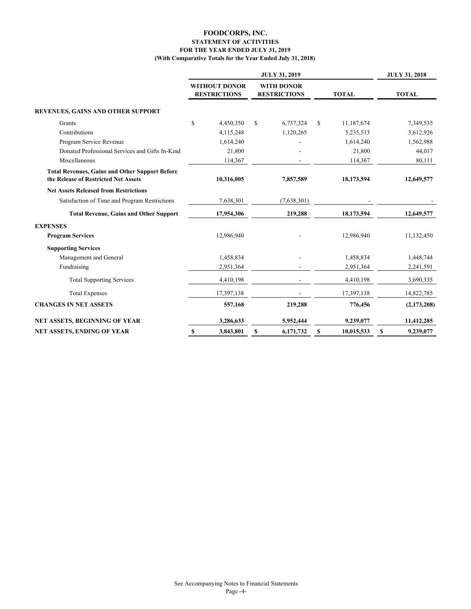#### **FOR THE YEAR ENDED JULY 31, 2019 STATEMENT OF ACTIVITIES FOODCORPS, INC. (With Comparative Totals for the Year Ended July 31, 2018)**

|                                                                                               |    |                                             |    | <b>JULY 31, 2019</b>                     |   |              | <b>JULY 31, 2018</b> |
|-----------------------------------------------------------------------------------------------|----|---------------------------------------------|----|------------------------------------------|---|--------------|----------------------|
|                                                                                               |    | <b>WITHOUT DONOR</b><br><b>RESTRICTIONS</b> |    | <b>WITH DONOR</b><br><b>RESTRICTIONS</b> |   | <b>TOTAL</b> | <b>TOTAL</b>         |
| REVENUES, GAINS AND OTHER SUPPORT                                                             |    |                                             |    |                                          |   |              |                      |
| Grants                                                                                        | \$ | 4,450,350                                   | S  | 6,737,324                                | S | 11,187,674   | 7,349,535            |
| Contributions                                                                                 |    | 4,115,248                                   |    | 1,120,265                                |   | 5,235,513    | 3,612,926            |
| Program Service Revenue                                                                       |    | 1,614,240                                   |    |                                          |   | 1,614,240    | 1,562,988            |
| Donated Professional Services and Gifts In-Kind                                               |    | 21,800                                      |    |                                          |   | 21,800       | 44,017               |
| Miscellaneous                                                                                 |    | 114,367                                     |    |                                          |   | 114,367      | 80,111               |
| <b>Total Revenues, Gains and Other Support Before</b><br>the Release of Restricted Net Assets |    | 10,316,005                                  |    | 7,857,589                                |   | 18,173,594   | 12,649,577           |
| <b>Net Assets Released from Restrictions</b>                                                  |    |                                             |    |                                          |   |              |                      |
| Satisfaction of Time and Program Restrictions                                                 |    | 7,638,301                                   |    | (7,638,301)                              |   |              |                      |
| <b>Total Revenue, Gains and Other Support</b>                                                 |    | 17,954,306                                  |    | 219,288                                  |   | 18,173,594   | 12,649,577           |
| <b>EXPENSES</b>                                                                               |    |                                             |    |                                          |   |              |                      |
| <b>Program Services</b>                                                                       |    | 12,986,940                                  |    |                                          |   | 12,986,940   | 11,132,450           |
| <b>Supporting Services</b>                                                                    |    |                                             |    |                                          |   |              |                      |
| Management and General                                                                        |    | 1,458,834                                   |    |                                          |   | 1,458,834    | 1,448,744            |
| Fundraising                                                                                   |    | 2,951,364                                   |    |                                          |   | 2,951,364    | 2,241,591            |
| <b>Total Supporting Services</b>                                                              |    | 4,410,198                                   |    |                                          |   | 4,410,198    | 3,690,335            |
| <b>Total Expenses</b>                                                                         |    | 17,397,138                                  |    |                                          |   | 17,397,138   | 14,822,785           |
| <b>CHANGES IN NET ASSETS</b>                                                                  |    | 557,168                                     |    | 219,288                                  |   | 776,456      | (2,173,208)          |
| NET ASSETS, BEGINNING OF YEAR                                                                 |    | 3,286,633                                   |    | 5,952,444                                |   | 9,239,077    | 11,412,285           |
| NET ASSETS, ENDING OF YEAR                                                                    | \$ | 3,843,801                                   | \$ | 6,171,732                                | S | 10,015,533   | \$<br>9,239,077      |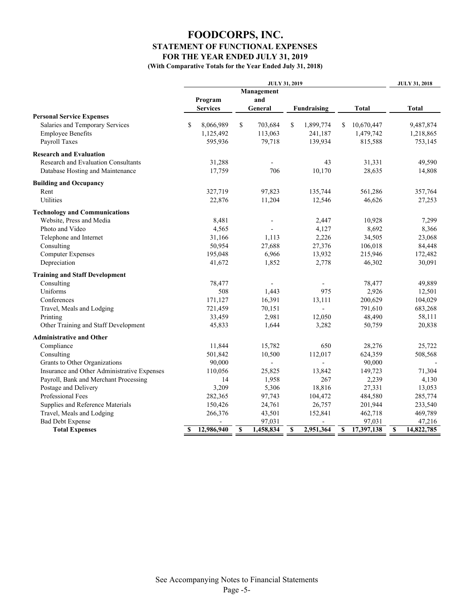# **FOODCORPS, INC. FOR THE YEAR ENDED JULY 31, 2019 STATEMENT OF FUNCTIONAL EXPENSES**

**(With Comparative Totals for the Year Ended July 31, 2018)**

|                                                               | <b>JULY 31, 2019</b>       |                          |                            | <b>JULY 31, 2018</b> |                                         |
|---------------------------------------------------------------|----------------------------|--------------------------|----------------------------|----------------------|-----------------------------------------|
|                                                               |                            | Management               |                            |                      |                                         |
|                                                               | Program                    | and                      |                            |                      |                                         |
|                                                               | <b>Services</b>            | General                  | <b>Fundraising</b>         | <b>Total</b>         | Total                                   |
| <b>Personal Service Expenses</b>                              |                            |                          |                            |                      |                                         |
| Salaries and Temporary Services                               | 8,066,989<br>S             | S<br>703,684             | <sup>\$</sup><br>1,899,774 | 10,670,447<br>S.     | 9,487,874                               |
| <b>Employee Benefits</b>                                      | 1,125,492                  | 113,063                  | 241,187                    | 1,479,742            | 1,218,865                               |
| Payroll Taxes                                                 | 595,936                    | 79,718                   | 139,934                    | 815,588              | 753,145                                 |
| <b>Research and Evaluation</b>                                |                            |                          |                            |                      |                                         |
| Research and Evaluation Consultants                           | 31,288                     |                          | 43                         | 31,331               | 49,590                                  |
| Database Hosting and Maintenance                              | 17,759                     | 706                      | 10,170                     | 28,635               | 14,808                                  |
| <b>Building and Occupancy</b>                                 |                            |                          |                            |                      |                                         |
| Rent                                                          | 327,719                    | 97,823                   | 135,744                    | 561,286              | 357,764                                 |
| Utilities                                                     | 22,876                     | 11,204                   | 12,546                     | 46,626               | 27,253                                  |
| <b>Technology and Communications</b>                          |                            |                          |                            |                      |                                         |
| Website, Press and Media                                      | 8,481                      |                          | 2,447                      | 10,928               | 7,299                                   |
| Photo and Video                                               | 4,565                      |                          | 4,127                      | 8,692                | 8,366                                   |
| Telephone and Internet                                        | 31,166                     | 1,113                    | 2,226                      | 34,505               | 23,068                                  |
| Consulting                                                    | 50,954                     | 27,688                   | 27,376                     | 106,018              | 84,448                                  |
| <b>Computer Expenses</b>                                      | 195,048                    | 6,966                    | 13,932                     | 215,946              | 172,482                                 |
| Depreciation                                                  | 41,672                     | 1,852                    | 2,778                      | 46,302               | 30,091                                  |
|                                                               |                            |                          |                            |                      |                                         |
| <b>Training and Staff Development</b><br>Consulting           | 78,477                     |                          |                            | 78,477               | 49,889                                  |
| Uniforms                                                      | 508                        | 1,443                    | 975                        | 2,926                | 12,501                                  |
| Conferences                                                   | 171,127                    | 16,391                   | 13,111                     | 200,629              | 104,029                                 |
| Travel, Meals and Lodging                                     | 721,459                    | 70,151                   | $\overline{a}$             | 791,610              | 683,268                                 |
| Printing                                                      | 33,459                     | 2,981                    | 12,050                     | 48,490               | 58,111                                  |
| Other Training and Staff Development                          | 45,833                     | 1,644                    | 3,282                      | 50,759               | 20,838                                  |
|                                                               |                            |                          |                            |                      |                                         |
| <b>Administrative and Other</b>                               |                            |                          |                            |                      |                                         |
| Compliance                                                    | 11,844                     | 15,782                   | 650                        | 28,276               | 25,722                                  |
| Consulting                                                    | 501,842                    | 10,500                   | 112,017                    | 624,359              | 508,568                                 |
| Grants to Other Organizations                                 | 90,000                     |                          |                            | 90,000               |                                         |
| Insurance and Other Administrative Expenses                   | 110,056                    | 25,825                   | 13,842<br>267              | 149,723              | 71,304                                  |
| Payroll, Bank and Merchant Processing<br>Postage and Delivery | 14<br>3,209                | 1,958<br>5,306           | 18,816                     | 2,239<br>27,331      | 4,130<br>13,053                         |
| Professional Fees                                             | 282,365                    | 97,743                   | 104,472                    | 484,580              | 285,774                                 |
| Supplies and Reference Materials                              |                            | 24,761                   |                            |                      | 233,540                                 |
| Travel, Meals and Lodging                                     | 150,426<br>266,376         | 43,501                   | 26,757<br>152,841          | 201,944<br>462,718   | 469,789                                 |
| <b>Bad Debt Expense</b>                                       |                            | 97,031                   |                            | 97,031               | 47,216                                  |
| <b>Total Expenses</b>                                         | 12,986,940<br>$\mathbf{s}$ | $\mathbb S$<br>1,458,834 | $\mathbb S$<br>2,951,364   | \$<br>17,397,138     | $\boldsymbol{\mathsf{s}}$<br>14,822,785 |
|                                                               |                            |                          |                            |                      |                                         |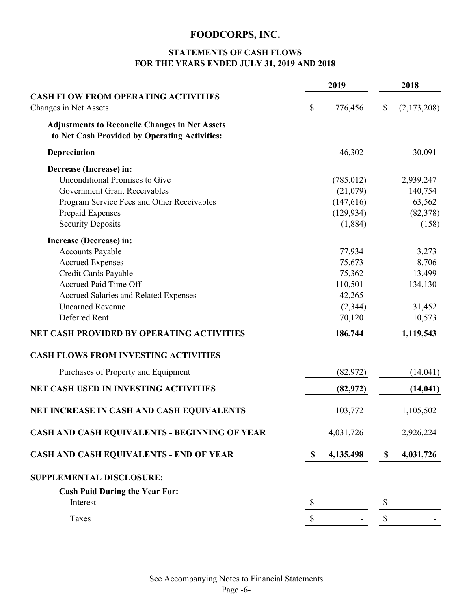# **STATEMENTS OF CASH FLOWS FOR THE YEARS ENDED JULY 31, 2019 AND 2018**

|                                                                                                        |               | 2019       |                                                                       | 2018        |
|--------------------------------------------------------------------------------------------------------|---------------|------------|-----------------------------------------------------------------------|-------------|
| <b>CASH FLOW FROM OPERATING ACTIVITIES</b><br>Changes in Net Assets                                    | \$            | 776,456    | \$                                                                    | (2,173,208) |
| <b>Adjustments to Reconcile Changes in Net Assets</b><br>to Net Cash Provided by Operating Activities: |               |            |                                                                       |             |
| Depreciation                                                                                           |               | 46,302     |                                                                       | 30,091      |
| Decrease (Increase) in:                                                                                |               |            |                                                                       |             |
| Unconditional Promises to Give                                                                         |               | (785, 012) |                                                                       | 2,939,247   |
| <b>Government Grant Receivables</b>                                                                    |               | (21,079)   |                                                                       | 140,754     |
| Program Service Fees and Other Receivables                                                             |               | (147,616)  |                                                                       | 63,562      |
| Prepaid Expenses                                                                                       |               | (129, 934) |                                                                       | (82,378)    |
| <b>Security Deposits</b>                                                                               |               | (1,884)    |                                                                       | (158)       |
| Increase (Decrease) in:                                                                                |               |            |                                                                       |             |
| <b>Accounts Payable</b>                                                                                |               | 77,934     |                                                                       | 3,273       |
| <b>Accrued Expenses</b>                                                                                |               | 75,673     |                                                                       | 8,706       |
| Credit Cards Payable                                                                                   |               | 75,362     |                                                                       | 13,499      |
| Accrued Paid Time Off                                                                                  |               | 110,501    |                                                                       | 134,130     |
| Accrued Salaries and Related Expenses                                                                  |               | 42,265     |                                                                       |             |
| <b>Unearned Revenue</b>                                                                                |               | (2,344)    |                                                                       | 31,452      |
| Deferred Rent                                                                                          |               | 70,120     |                                                                       | 10,573      |
| NET CASH PROVIDED BY OPERATING ACTIVITIES                                                              |               | 186,744    |                                                                       | 1,119,543   |
| <b>CASH FLOWS FROM INVESTING ACTIVITIES</b>                                                            |               |            |                                                                       |             |
| Purchases of Property and Equipment                                                                    |               | (82, 972)  |                                                                       | (14,041)    |
| NET CASH USED IN INVESTING ACTIVITIES                                                                  |               | (82, 972)  |                                                                       | (14, 041)   |
| NET INCREASE IN CASH AND CASH EQUIVALENTS                                                              |               | 103,772    |                                                                       | 1,105,502   |
| CASH AND CASH EQUIVALENTS - BEGINNING OF YEAR                                                          |               | 4,031,726  |                                                                       | 2,926,224   |
| CASH AND CASH EQUIVALENTS - END OF YEAR                                                                | $\mathbf{\$}$ | 4,135,498  | \$                                                                    | 4,031,726   |
| <b>SUPPLEMENTAL DISCLOSURE:</b>                                                                        |               |            |                                                                       |             |
| <b>Cash Paid During the Year For:</b>                                                                  |               |            |                                                                       |             |
| Interest                                                                                               | \$            |            |                                                                       |             |
| Taxes                                                                                                  | \$            |            | $\mathbb{S}% _{t}\left( t\right) \equiv\mathbb{S}_{t}\left( t\right)$ |             |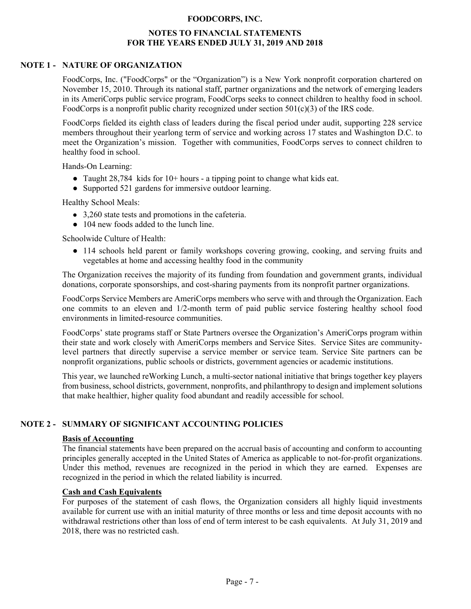#### **NOTES TO FINANCIAL STATEMENTS FOR THE YEARS ENDED JULY 31, 2019 AND 2018**

#### **NOTE 1 - NATURE OF ORGANIZATION**

FoodCorps, Inc. ("FoodCorps" or the "Organization") is a New York nonprofit corporation chartered on November 15, 2010. Through its national staff, partner organizations and the network of emerging leaders in its AmeriCorps public service program, FoodCorps seeks to connect children to healthy food in school. FoodCorps is a nonprofit public charity recognized under section  $501(c)(3)$  of the IRS code.

FoodCorps fielded its eighth class of leaders during the fiscal period under audit, supporting 228 service members throughout their yearlong term of service and working across 17 states and Washington D.C. to meet the Organization's mission. Together with communities, FoodCorps serves to connect children to healthy food in school.

Hands-On Learning:

- Taught  $28,784$  kids for  $10+$  hours a tipping point to change what kids eat.
- Supported 521 gardens for immersive outdoor learning.

Healthy School Meals:

- 3,260 state tests and promotions in the cafeteria.
- 104 new foods added to the lunch line.

Schoolwide Culture of Health:

● 114 schools held parent or family workshops covering growing, cooking, and serving fruits and vegetables at home and accessing healthy food in the community

The Organization receives the majority of its funding from foundation and government grants, individual donations, corporate sponsorships, and cost-sharing payments from its nonprofit partner organizations.

FoodCorps Service Members are AmeriCorps members who serve with and through the Organization. Each one commits to an eleven and 1/2-month term of paid public service fostering healthy school food environments in limited-resource communities.

FoodCorps' state programs staff or State Partners oversee the Organization's AmeriCorps program within their state and work closely with AmeriCorps members and Service Sites. Service Sites are communitylevel partners that directly supervise a service member or service team. Service Site partners can be nonprofit organizations, public schools or districts, government agencies or academic institutions.

This year, we launched reWorking Lunch, a multi-sector national initiative that brings together key players from business, school districts, government, nonprofits, and philanthropy to design and implement solutions that make healthier, higher quality food abundant and readily accessible for school.

## **NOTE 2 - SUMMARY OF SIGNIFICANT ACCOUNTING POLICIES**

#### **Basis of Accounting**

The financial statements have been prepared on the accrual basis of accounting and conform to accounting principles generally accepted in the United States of America as applicable to not-for-profit organizations. Under this method, revenues are recognized in the period in which they are earned. Expenses are recognized in the period in which the related liability is incurred.

#### **Cash and Cash Equivalents**

For purposes of the statement of cash flows, the Organization considers all highly liquid investments available for current use with an initial maturity of three months or less and time deposit accounts with no withdrawal restrictions other than loss of end of term interest to be cash equivalents. At July 31, 2019 and 2018, there was no restricted cash.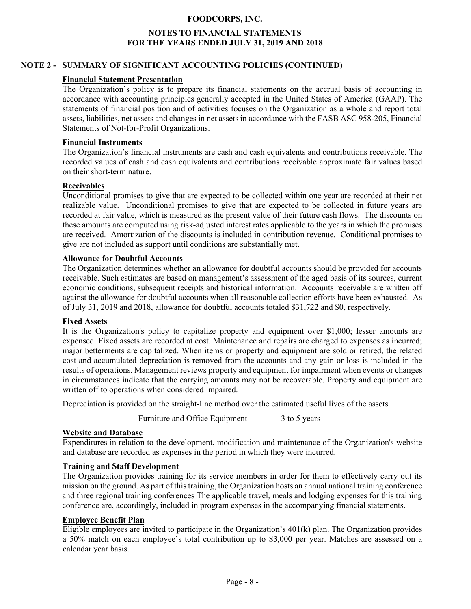#### **NOTES TO FINANCIAL STATEMENTS FOR THE YEARS ENDED JULY 31, 2019 AND 2018**

# **NOTE 2 - SUMMARY OF SIGNIFICANT ACCOUNTING POLICIES (CONTINUED)**

#### **Financial Statement Presentation**

The Organization's policy is to prepare its financial statements on the accrual basis of accounting in accordance with accounting principles generally accepted in the United States of America (GAAP). The statements of financial position and of activities focuses on the Organization as a whole and report total assets, liabilities, net assets and changes in net assets in accordance with the FASB ASC 958-205, Financial Statements of Not-for-Profit Organizations.

#### **Financial Instruments**

The Organization's financial instruments are cash and cash equivalents and contributions receivable. The recorded values of cash and cash equivalents and contributions receivable approximate fair values based on their short-term nature.

#### **Receivables**

Unconditional promises to give that are expected to be collected within one year are recorded at their net realizable value. Unconditional promises to give that are expected to be collected in future years are recorded at fair value, which is measured as the present value of their future cash flows. The discounts on these amounts are computed using risk-adjusted interest rates applicable to the years in which the promises are received. Amortization of the discounts is included in contribution revenue. Conditional promises to give are not included as support until conditions are substantially met.

#### **Allowance for Doubtful Accounts**

The Organization determines whether an allowance for doubtful accounts should be provided for accounts receivable. Such estimates are based on management's assessment of the aged basis of its sources, current economic conditions, subsequent receipts and historical information. Accounts receivable are written off against the allowance for doubtful accounts when all reasonable collection efforts have been exhausted. As of July 31, 2019 and 2018, allowance for doubtful accounts totaled \$31,722 and \$0, respectively.

#### **Fixed Assets**

It is the Organization's policy to capitalize property and equipment over \$1,000; lesser amounts are expensed. Fixed assets are recorded at cost. Maintenance and repairs are charged to expenses as incurred; major betterments are capitalized. When items or property and equipment are sold or retired, the related cost and accumulated depreciation is removed from the accounts and any gain or loss is included in the results of operations. Management reviews property and equipment for impairment when events or changes in circumstances indicate that the carrying amounts may not be recoverable. Property and equipment are written off to operations when considered impaired.

Depreciation is provided on the straight-line method over the estimated useful lives of the assets.

Furniture and Office Equipment 3 to 5 years

#### **Website and Database**

Expenditures in relation to the development, modification and maintenance of the Organization's website and database are recorded as expenses in the period in which they were incurred.

#### **Training and Staff Development**

The Organization provides training for its service members in order for them to effectively carry out its mission on the ground. As part of this training, the Organization hosts an annual national training conference and three regional training conferences The applicable travel, meals and lodging expenses for this training conference are, accordingly, included in program expenses in the accompanying financial statements.

#### **Employee Benefit Plan**

Eligible employees are invited to participate in the Organization's 401(k) plan. The Organization provides a 50% match on each employee's total contribution up to \$3,000 per year. Matches are assessed on a calendar year basis.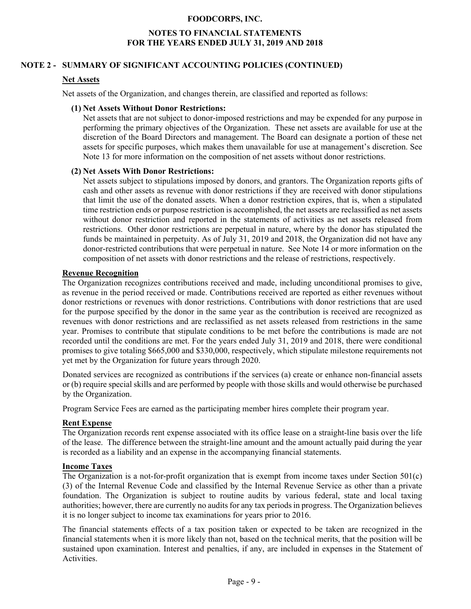#### **NOTES TO FINANCIAL STATEMENTS FOR THE YEARS ENDED JULY 31, 2019 AND 2018**

#### **NOTE 2 - SUMMARY OF SIGNIFICANT ACCOUNTING POLICIES (CONTINUED)**

#### **Net Assets**

Net assets of the Organization, and changes therein, are classified and reported as follows:

#### **(1) Net Assets Without Donor Restrictions:**

Net assets that are not subject to donor-imposed restrictions and may be expended for any purpose in performing the primary objectives of the Organization. These net assets are available for use at the discretion of the Board Directors and management. The Board can designate a portion of these net assets for specific purposes, which makes them unavailable for use at management's discretion. See Note 13 for more information on the composition of net assets without donor restrictions.

#### **(2) Net Assets With Donor Restrictions:**

Net assets subject to stipulations imposed by donors, and grantors. The Organization reports gifts of cash and other assets as revenue with donor restrictions if they are received with donor stipulations that limit the use of the donated assets. When a donor restriction expires, that is, when a stipulated time restriction ends or purpose restriction is accomplished, the net assets are reclassified as net assets without donor restriction and reported in the statements of activities as net assets released from restrictions. Other donor restrictions are perpetual in nature, where by the donor has stipulated the funds be maintained in perpetuity. As of July 31, 2019 and 2018, the Organization did not have any donor-restricted contributions that were perpetual in nature. See Note 14 or more information on the composition of net assets with donor restrictions and the release of restrictions, respectively.

#### **Revenue Recognition**

The Organization recognizes contributions received and made, including unconditional promises to give, as revenue in the period received or made. Contributions received are reported as either revenues without donor restrictions or revenues with donor restrictions. Contributions with donor restrictions that are used for the purpose specified by the donor in the same year as the contribution is received are recognized as revenues with donor restrictions and are reclassified as net assets released from restrictions in the same year. Promises to contribute that stipulate conditions to be met before the contributions is made are not recorded until the conditions are met. For the years ended July 31, 2019 and 2018, there were conditional promises to give totaling \$665,000 and \$330,000, respectively, which stipulate milestone requirements not yet met by the Organization for future years through 2020.

Donated services are recognized as contributions if the services (a) create or enhance non-financial assets or (b) require special skills and are performed by people with those skills and would otherwise be purchased by the Organization.

Program Service Fees are earned as the participating member hires complete their program year.

#### **Rent Expense**

The Organization records rent expense associated with its office lease on a straight-line basis over the life of the lease. The difference between the straight-line amount and the amount actually paid during the year is recorded as a liability and an expense in the accompanying financial statements.

#### **Income Taxes**

The Organization is a not-for-profit organization that is exempt from income taxes under Section  $501(c)$ (3) of the Internal Revenue Code and classified by the Internal Revenue Service as other than a private foundation. The Organization is subject to routine audits by various federal, state and local taxing authorities; however, there are currently no audits for any tax periodsin progress. The Organization believes it is no longer subject to income tax examinations for years prior to 2016.

The financial statements effects of a tax position taken or expected to be taken are recognized in the financial statements when it is more likely than not, based on the technical merits, that the position will be sustained upon examination. Interest and penalties, if any, are included in expenses in the Statement of Activities.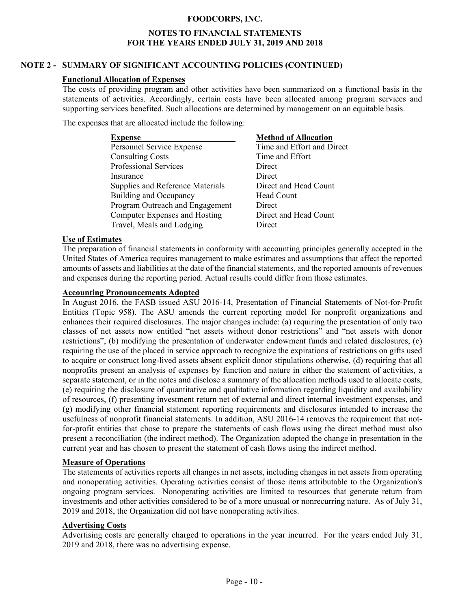#### **NOTES TO FINANCIAL STATEMENTS FOR THE YEARS ENDED JULY 31, 2019 AND 2018**

# **NOTE 2 - SUMMARY OF SIGNIFICANT ACCOUNTING POLICIES (CONTINUED)**

## **Functional Allocation of Expenses**

The costs of providing program and other activities have been summarized on a functional basis in the statements of activities. Accordingly, certain costs have been allocated among program services and supporting services benefited. Such allocations are determined by management on an equitable basis.

The expenses that are allocated include the following:

| <b>Method of Allocation</b> |
|-----------------------------|
| Time and Effort and Direct  |
| Time and Effort             |
| Direct                      |
| Direct                      |
| Direct and Head Count       |
| Head Count                  |
| <b>Direct</b>               |
| Direct and Head Count       |
| Direct                      |
|                             |

#### **Use of Estimates**

The preparation of financial statements in conformity with accounting principles generally accepted in the United States of America requires management to make estimates and assumptions that affect the reported amounts of assets and liabilities at the date of the financial statements, and the reported amounts of revenues and expenses during the reporting period. Actual results could differ from those estimates.

#### **Accounting Pronouncements Adopted**

In August 2016, the FASB issued ASU 2016-14, Presentation of Financial Statements of Not-for-Profit Entities (Topic 958). The ASU amends the current reporting model for nonprofit organizations and enhances their required disclosures. The major changes include: (a) requiring the presentation of only two classes of net assets now entitled "net assets without donor restrictions" and "net assets with donor restrictions", (b) modifying the presentation of underwater endowment funds and related disclosures, (c) requiring the use of the placed in service approach to recognize the expirations of restrictions on gifts used to acquire or construct long-lived assets absent explicit donor stipulations otherwise, (d) requiring that all nonprofits present an analysis of expenses by function and nature in either the statement of activities, a separate statement, or in the notes and disclose a summary of the allocation methods used to allocate costs, (e) requiring the disclosure of quantitative and qualitative information regarding liquidity and availability of resources, (f) presenting investment return net of external and direct internal investment expenses, and (g) modifying other financial statement reporting requirements and disclosures intended to increase the usefulness of nonprofit financial statements. In addition, ASU 2016-14 removes the requirement that notfor-profit entities that chose to prepare the statements of cash flows using the direct method must also present a reconciliation (the indirect method). The Organization adopted the change in presentation in the current year and has chosen to present the statement of cash flows using the indirect method.

## **Measure of Operations**

The statements of activities reports all changes in net assets, including changes in net assets from operating and nonoperating activities. Operating activities consist of those items attributable to the Organization's ongoing program services. Nonoperating activities are limited to resources that generate return from investments and other activities considered to be of a more unusual or nonrecurring nature. As of July 31, 2019 and 2018, the Organization did not have nonoperating activities.

#### **Advertising Costs**

Advertising costs are generally charged to operations in the year incurred. For the years ended July 31, 2019 and 2018, there was no advertising expense.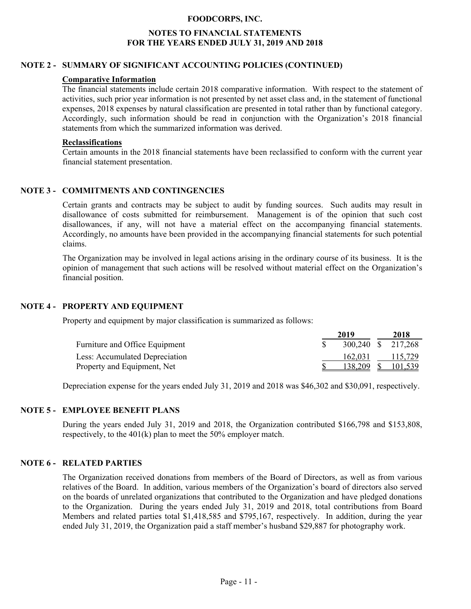#### **NOTES TO FINANCIAL STATEMENTS FOR THE YEARS ENDED JULY 31, 2019 AND 2018**

#### **NOTE 2 - SUMMARY OF SIGNIFICANT ACCOUNTING POLICIES (CONTINUED)**

#### **Comparative Information**

The financial statements include certain 2018 comparative information. With respect to the statement of activities, such prior year information is not presented by net asset class and, in the statement of functional expenses, 2018 expenses by natural classification are presented in total rather than by functional category. Accordingly, such information should be read in conjunction with the Organization's 2018 financial statements from which the summarized information was derived.

#### **Reclassifications**

Certain amounts in the 2018 financial statements have been reclassified to conform with the current year financial statement presentation.

## **NOTE 3 - COMMITMENTS AND CONTINGENCIES**

Certain grants and contracts may be subject to audit by funding sources. Such audits may result in disallowance of costs submitted for reimbursement. Management is of the opinion that such cost disallowances, if any, will not have a material effect on the accompanying financial statements. Accordingly, no amounts have been provided in the accompanying financial statements for such potential claims.

The Organization may be involved in legal actions arising in the ordinary course of its business. It is the opinion of management that such actions will be resolved without material effect on the Organization's financial position.

#### **NOTE 4 - PROPERTY AND EQUIPMENT**

Property and equipment by major classification is summarized as follows:

|                                | 2019    |     | 2018               |
|--------------------------------|---------|-----|--------------------|
| Furniture and Office Equipment |         |     | 300,240 \$ 217,268 |
| Less: Accumulated Depreciation | 162,031 |     | 115,729            |
| Property and Equipment, Net    | 138,209 | - S | 101,539            |

Depreciation expense for the years ended July 31, 2019 and 2018 was \$46,302 and \$30,091, respectively.

## **NOTE 5 - EMPLOYEE BENEFIT PLANS**

During the years ended July 31, 2019 and 2018, the Organization contributed \$166,798 and \$153,808, respectively, to the  $401(k)$  plan to meet the 50% employer match.

#### **NOTE 6 - RELATED PARTIES**

The Organization received donations from members of the Board of Directors, as well as from various relatives of the Board. In addition, various members of the Organization's board of directors also served on the boards of unrelated organizations that contributed to the Organization and have pledged donations to the Organization. During the years ended July 31, 2019 and 2018, total contributions from Board Members and related parties total \$1,418,585 and \$795,167, respectively. In addition, during the year ended July 31, 2019, the Organization paid a staff member's husband \$29,887 for photography work.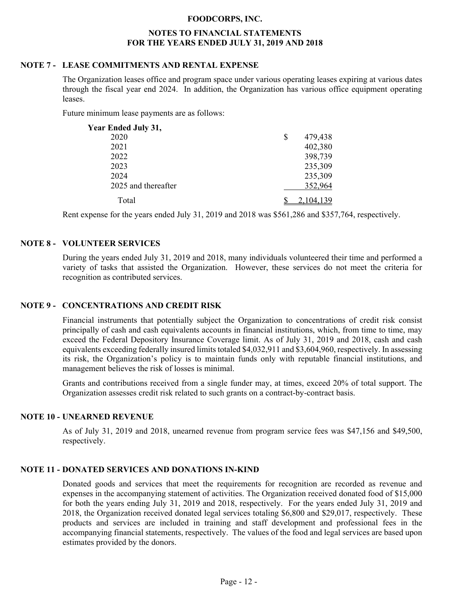#### **NOTES TO FINANCIAL STATEMENTS FOR THE YEARS ENDED JULY 31, 2019 AND 2018**

#### **NOTE 7 - LEASE COMMITMENTS AND RENTAL EXPENSE**

The Organization leases office and program space under various operating leases expiring at various dates through the fiscal year end 2024. In addition, the Organization has various office equipment operating leases.

Future minimum lease payments are as follows:

| Year Ended July 31, |               |
|---------------------|---------------|
| 2020                | \$<br>479,438 |
| 2021                | 402,380       |
| 2022                | 398,739       |
| 2023                | 235,309       |
| 2024                | 235,309       |
| 2025 and thereafter | 352,964       |
| Total               | 2,104,139     |

Rent expense for the years ended July 31, 2019 and 2018 was \$561,286 and \$357,764, respectively.

#### **NOTE 8 - VOLUNTEER SERVICES**

During the years ended July 31, 2019 and 2018, many individuals volunteered their time and performed a variety of tasks that assisted the Organization. However, these services do not meet the criteria for recognition as contributed services.

#### **NOTE 9 - CONCENTRATIONS AND CREDIT RISK**

Financial instruments that potentially subject the Organization to concentrations of credit risk consist principally of cash and cash equivalents accounts in financial institutions, which, from time to time, may exceed the Federal Depository Insurance Coverage limit. As of July 31, 2019 and 2018, cash and cash equivalents exceeding federally insured limits totaled \$4,032,911 and \$3,604,960, respectively. In assessing its risk, the Organization's policy is to maintain funds only with reputable financial institutions, and management believes the risk of losses is minimal.

Grants and contributions received from a single funder may, at times, exceed 20% of total support. The Organization assesses credit risk related to such grants on a contract-by-contract basis.

#### **NOTE 10 - UNEARNED REVENUE**

As of July 31, 2019 and 2018, unearned revenue from program service fees was \$47,156 and \$49,500, respectively.

## **NOTE 11 - DONATED SERVICES AND DONATIONS IN-KIND**

Donated goods and services that meet the requirements for recognition are recorded as revenue and expenses in the accompanying statement of activities. The Organization received donated food of \$15,000 for both the years ending July 31, 2019 and 2018, respectively. For the years ended July 31, 2019 and 2018, the Organization received donated legal services totaling \$6,800 and \$29,017, respectively. These products and services are included in training and staff development and professional fees in the accompanying financial statements, respectively. The values of the food and legal services are based upon estimates provided by the donors.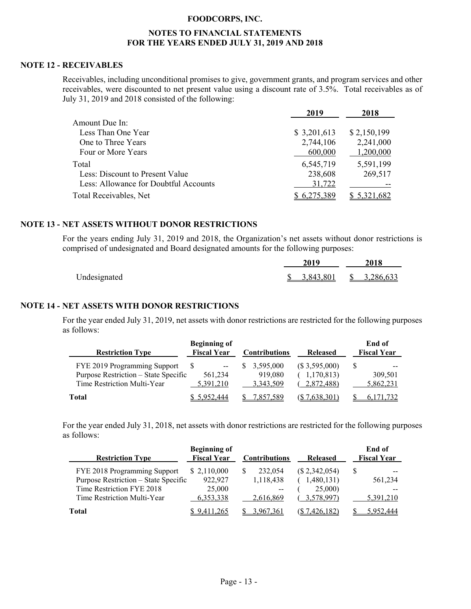#### **NOTES TO FINANCIAL STATEMENTS FOR THE YEARS ENDED JULY 31, 2019 AND 2018**

#### **NOTE 12 - RECEIVABLES**

Receivables, including unconditional promises to give, government grants, and program services and other receivables, were discounted to net present value using a discount rate of 3.5%. Total receivables as of July 31, 2019 and 2018 consisted of the following:

|                                       | 2019        | 2018         |
|---------------------------------------|-------------|--------------|
| Amount Due In:                        |             |              |
| Less Than One Year                    | \$3,201,613 | \$2,150,199  |
| One to Three Years                    | 2,744,106   | 2,241,000    |
| Four or More Years                    | 600,000     | 1,200,000    |
| Total                                 | 6,545,719   | 5,591,199    |
| Less: Discount to Present Value       | 238,608     | 269,517      |
| Less: Allowance for Doubtful Accounts | 31,722      |              |
| Total Receivables, Net                | 6,275,389   | \$ 5,321,682 |

## **NOTE 13 - NET ASSETS WITHOUT DONOR RESTRICTIONS**

For the years ending July 31, 2019 and 2018, the Organization's net assets without donor restrictions is comprised of undesignated and Board designated amounts for the following purposes:

|              | 2019 | 2018                      |
|--------------|------|---------------------------|
| Undesignated |      | $$3,843,801$ $$3,286,633$ |

#### **NOTE 14 - NET ASSETS WITH DONOR RESTRICTIONS**

For the year ended July 31, 2019, net assets with donor restrictions are restricted for the following purposes as follows:

| <b>Restriction Type</b>                                                                             | <b>Beginning of</b><br><b>Fiscal Year</b> | <b>Contributions</b>              | <b>Released</b>                          | End of<br><b>Fiscal Year</b> |
|-----------------------------------------------------------------------------------------------------|-------------------------------------------|-----------------------------------|------------------------------------------|------------------------------|
| FYE 2019 Programming Support<br>Purpose Restriction – State Specific<br>Time Restriction Multi-Year | $-$<br>561,234<br>5,391,210               | 3,595,000<br>919,080<br>3,343,509 | (\$3,595,000)<br>1,170,813<br>2,872,488) | --<br>309,501<br>5,862,231   |
| Total                                                                                               | .952.444                                  | .857.589                          | .638.301                                 |                              |

For the year ended July 31, 2018, net assets with donor restrictions are restricted for the following purposes as follows:

| <b>Restriction Type</b>              | <b>Beginning of</b><br><b>Fiscal Year</b> | <b>Contributions</b> | <b>Released</b> | End of<br><b>Fiscal Year</b> |
|--------------------------------------|-------------------------------------------|----------------------|-----------------|------------------------------|
| FYE 2018 Programming Support         | \$2,110,000                               | 232,054              | $(\$2,342,054)$ | S                            |
| Purpose Restriction - State Specific | 922,927                                   | 1,118,438            | 1,480,131)      | 561,234                      |
| Time Restriction FYE 2018            | 25,000                                    |                      | 25,000)         |                              |
| Time Restriction Multi-Year          | 6,353,338                                 | 2,616,869            | 3.578.997)      | 5,391,210                    |
| Total                                |                                           | .967.361             |                 | 5.952.444                    |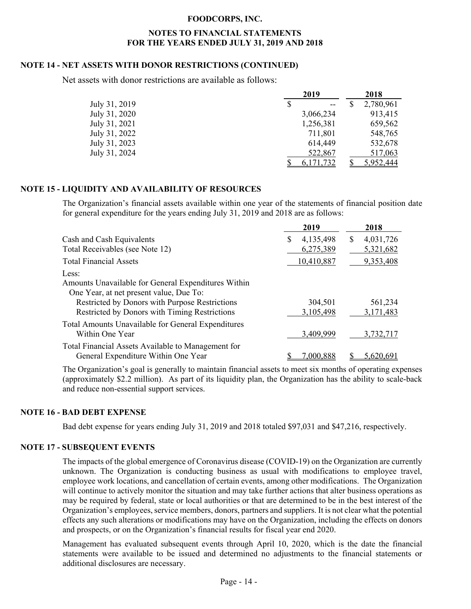#### **NOTES TO FINANCIAL STATEMENTS FOR THE YEARS ENDED JULY 31, 2019 AND 2018**

#### **NOTE 14 - NET ASSETS WITH DONOR RESTRICTIONS (CONTINUED)**

Net assets with donor restrictions are available as follows:

|               | 2019       | 2018             |
|---------------|------------|------------------|
| July 31, 2019 | S<br>$- -$ | 2,780,961        |
| July 31, 2020 | 3,066,234  | 913,415          |
| July 31, 2021 | 1,256,381  | 659,562          |
| July 31, 2022 | 711,801    | 548,765          |
| July 31, 2023 | 614,449    | 532,678          |
| July 31, 2024 | 522,867    | 517,063          |
|               | 171,732    | <u>5,952,444</u> |

#### **NOTE 15 - LIQUIDITY AND AVAILABILITY OF RESOURCES**

The Organization's financial assets available within one year of the statements of financial position date for general expenditure for the years ending July 31, 2019 and 2018 are as follows:

|                                                     | 2019           | 2018           |
|-----------------------------------------------------|----------------|----------------|
| Cash and Cash Equivalents                           | 4,135,498<br>S | 4,031,726<br>S |
| Total Receivables (see Note 12)                     | 6,275,389      | 5,321,682      |
| <b>Total Financial Assets</b>                       | 10,410,887     | 9,353,408      |
| Less:                                               |                |                |
| Amounts Unavailable for General Expenditures Within |                |                |
| One Year, at net present value, Due To:             |                |                |
| Restricted by Donors with Purpose Restrictions      | 304,501        | 561,234        |
| Restricted by Donors with Timing Restrictions       | 3,105,498      | 3,171,483      |
| Total Amounts Unavailable for General Expenditures  |                |                |
| Within One Year                                     | 3,409,999      | 3,732,717      |
| Total Financial Assets Available to Management for  |                |                |
| General Expenditure Within One Year                 | 7,000,888      | 5,620,691      |

The Organization's goal is generally to maintain financial assets to meet six months of operating expenses (approximately \$2.2 million). As part of its liquidity plan, the Organization has the ability to scale-back and reduce non-essential support services.

#### **NOTE 16 - BAD DEBT EXPENSE**

Bad debt expense for years ending July 31, 2019 and 2018 totaled \$97,031 and \$47,216, respectively.

#### **NOTE 17 - SUBSEQUENT EVENTS**

The impacts of the global emergence of Coronavirus disease (COVID-19) on the Organization are currently unknown. The Organization is conducting business as usual with modifications to employee travel, employee work locations, and cancellation of certain events, among other modifications. The Organization will continue to actively monitor the situation and may take further actions that alter business operations as may be required by federal, state or local authorities or that are determined to be in the best interest of the Organization's employees, service members, donors, partners and suppliers. It is not clear what the potential effects any such alterations or modifications may have on the Organization, including the effects on donors and prospects, or on the Organization's financial results for fiscal year end 2020.

Management has evaluated subsequent events through April 10, 2020, which is the date the financial statements were available to be issued and determined no adjustments to the financial statements or additional disclosures are necessary.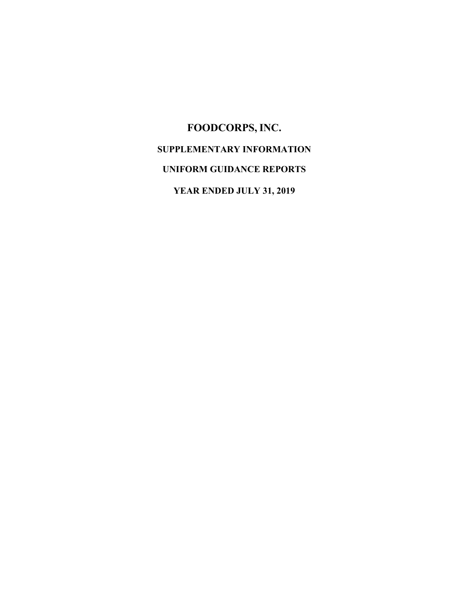# **FOODCORPS, INC. SUPPLEMENTARY INFORMATION UNIFORM GUIDANCE REPORTS YEAR ENDED JULY 31, 2019**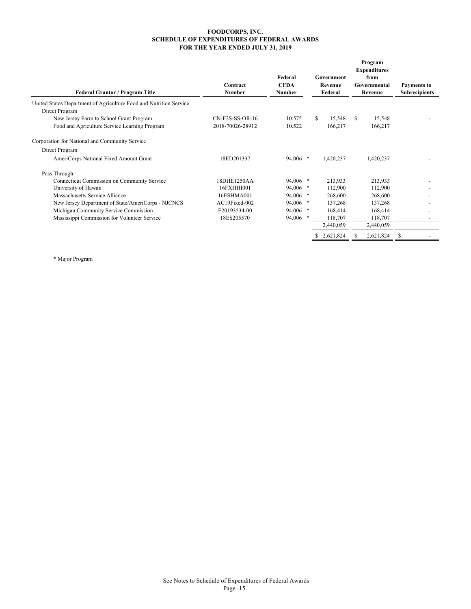#### **FOODCORPS, INC. SCHEDULE OF EXPENDITURES OF FEDERAL AWARDS FOR THE YEAR ENDED JULY 31, 2019**

| <b>Federal Grantor / Program Title</b>                             | Contract<br><b>Number</b> | Federal<br><b>CFDA</b><br><b>Number</b> | Government<br>Revenue<br>Federal |    | Program<br><b>Expenditures</b><br>from<br>Governmental<br>Revenue | <b>Payments to</b><br><b>Subrecipients</b> |
|--------------------------------------------------------------------|---------------------------|-----------------------------------------|----------------------------------|----|-------------------------------------------------------------------|--------------------------------------------|
| United States Department of Agriculture Food and Nutrition Service |                           |                                         |                                  |    |                                                                   |                                            |
| Direct Program                                                     |                           |                                         |                                  |    |                                                                   |                                            |
| New Jersey Farm to School Grant Program                            | $CN-F2S-SS-OR-16$         | 10.575                                  | S.<br>15,548                     | -S | 15,548                                                            |                                            |
| Food and Agriculture Service Learning Program                      | 2018-70026-28912          | 10.522                                  | 166,217                          |    | 166,217                                                           |                                            |
| Corporation for National and Community Service                     |                           |                                         |                                  |    |                                                                   |                                            |
| Direct Program                                                     |                           |                                         |                                  |    |                                                                   |                                            |
| AmeriCorps National Fixed Amount Grant                             | 18ED201337                | 94.006 *                                | 1,420,237                        |    | 1,420,237                                                         |                                            |
| Pass Through                                                       |                           |                                         |                                  |    |                                                                   |                                            |
| Connecticut Commission on Community Service                        | 18DHE1250AA               | 94.006 *                                | 213,933                          |    | 213,933                                                           |                                            |
| University of Hawaii                                               | 16FXHHI001                | 94.006 *                                | 112,900                          |    | 112,900                                                           |                                            |
| Massachusetts Service Alliance                                     | 16ESHMA001                | 94.006 *                                | 268,600                          |    | 268,600                                                           |                                            |
| New Jersey Department of State/AmeriCorps - NJCNCS                 | AC19Fixed-002             | 94.006 *                                | 137,268                          |    | 137,268                                                           |                                            |
| Michigan Community Service Commission                              | E20193534-00              | $94.006$ *                              | 168,414                          |    | 168,414                                                           |                                            |
| Mississippi Commission for Volunteer Service                       | 18ES205570                | 94.006 *                                | 118,707                          |    | 118,707                                                           |                                            |
|                                                                    |                           |                                         | 2,440,059                        |    | 2,440,059                                                         |                                            |
|                                                                    |                           |                                         | 2,621,824<br>S.                  | S  | 2,621,824                                                         | S                                          |

\* Major Program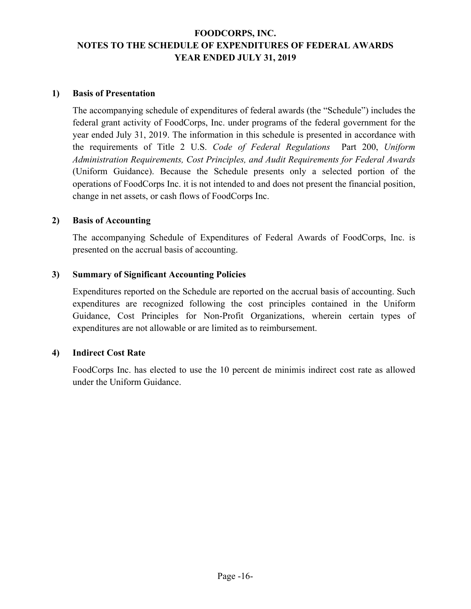# **FOODCORPS, INC. NOTES TO THE SCHEDULE OF EXPENDITURES OF FEDERAL AWARDS YEAR ENDED JULY 31, 2019**

# **1) Basis of Presentation**

The accompanying schedule of expenditures of federal awards (the "Schedule") includes the federal grant activity of FoodCorps, Inc. under programs of the federal government for the year ended July 31, 2019. The information in this schedule is presented in accordance with the requirements of Title 2 U.S. *Code of Federal Regulations* Part 200, *Uniform Administration Requirements, Cost Principles, and Audit Requirements for Federal Awards* (Uniform Guidance). Because the Schedule presents only a selected portion of the operations of FoodCorps Inc. it is not intended to and does not present the financial position, change in net assets, or cash flows of FoodCorps Inc.

# **2) Basis of Accounting**

The accompanying Schedule of Expenditures of Federal Awards of FoodCorps, Inc. is presented on the accrual basis of accounting.

# **3) Summary of Significant Accounting Policies**

Expenditures reported on the Schedule are reported on the accrual basis of accounting. Such expenditures are recognized following the cost principles contained in the Uniform Guidance, Cost Principles for Non-Profit Organizations, wherein certain types of expenditures are not allowable or are limited as to reimbursement.

# **4) Indirect Cost Rate**

FoodCorps Inc. has elected to use the 10 percent de minimis indirect cost rate as allowed under the Uniform Guidance.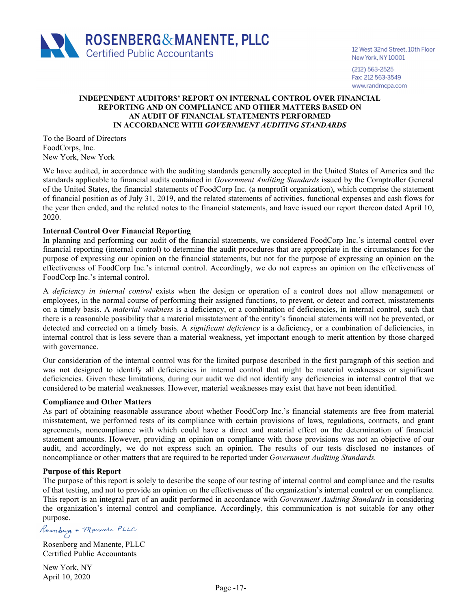

12 West 32nd Street, 10th Floor New York, NY 10001

 $(212) 563 - 2525$ Fax: 212 563-3549 www.randmcpa.com

#### **INDEPENDENT AUDITORS' REPORT ON INTERNAL CONTROL OVER FINANCIAL REPORTING AND ON COMPLIANCE AND OTHER MATTERS BASED ON AN AUDIT OF FINANCIAL STATEMENTS PERFORMED IN ACCORDANCE WITH** *GOVERNMENT AUDITING STANDARDS*

To the Board of Directors FoodCorps, Inc. New York, New York

We have audited, in accordance with the auditing standards generally accepted in the United States of America and the standards applicable to financial audits contained in *Government Auditing Standards* issued by the Comptroller General of the United States, the financial statements of FoodCorp Inc. (a nonprofit organization), which comprise the statement of financial position as of July 31, 2019, and the related statements of activities, functional expenses and cash flows for the year then ended, and the related notes to the financial statements, and have issued our report thereon dated April 10, 2020.

#### **Internal Control Over Financial Reporting**

In planning and performing our audit of the financial statements, we considered FoodCorp Inc.'s internal control over financial reporting (internal control) to determine the audit procedures that are appropriate in the circumstances for the purpose of expressing our opinion on the financial statements, but not for the purpose of expressing an opinion on the effectiveness of FoodCorp Inc.'s internal control. Accordingly, we do not express an opinion on the effectiveness of FoodCorp Inc.'s internal control.

A *deficiency in internal control* exists when the design or operation of a control does not allow management or employees, in the normal course of performing their assigned functions, to prevent, or detect and correct, misstatements on a timely basis. A *material weakness* is a deficiency, or a combination of deficiencies, in internal control, such that there is a reasonable possibility that a material misstatement of the entity's financial statements will not be prevented, or detected and corrected on a timely basis. A *significant deficiency* is a deficiency, or a combination of deficiencies, in internal control that is less severe than a material weakness, yet important enough to merit attention by those charged with governance.

Our consideration of the internal control was for the limited purpose described in the first paragraph of this section and was not designed to identify all deficiencies in internal control that might be material weaknesses or significant deficiencies. Given these limitations, during our audit we did not identify any deficiencies in internal control that we considered to be material weaknesses. However, material weaknesses may exist that have not been identified.

#### **Compliance and Other Matters**

As part of obtaining reasonable assurance about whether FoodCorp Inc.'s financial statements are free from material misstatement, we performed tests of its compliance with certain provisions of laws, regulations, contracts, and grant agreements, noncompliance with which could have a direct and material effect on the determination of financial statement amounts. However, providing an opinion on compliance with those provisions was not an objective of our audit, and accordingly, we do not express such an opinion. The results of our tests disclosed no instances of noncompliance or other matters that are required to be reported under *Government Auditing Standards.* 

#### **Purpose of this Report**

The purpose of this report is solely to describe the scope of our testing of internal control and compliance and the results of that testing, and not to provide an opinion on the effectiveness of the organization's internal control or on compliance. This report is an integral part of an audit performed in accordance with *Government Auditing Standards* in considering the organization's internal control and compliance. Accordingly, this communication is not suitable for any other purpose.

Rosenberg + Manente PLLC

Rosenberg and Manente, PLLC Certified Public Accountants

New York, NY April 10, 2020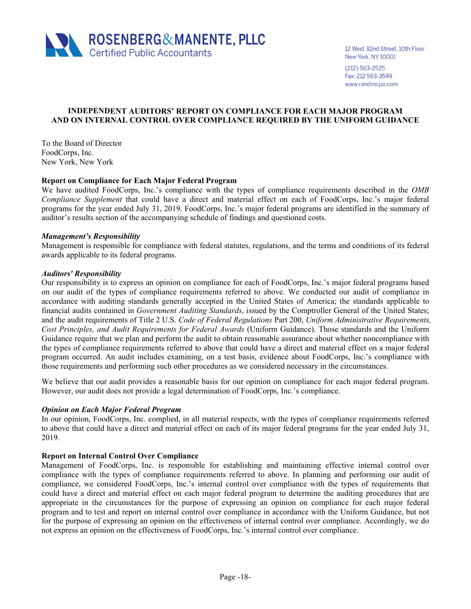

12 West 32nd Street, 10th Floor New York, NY 10001

 $(212) 563 - 2525$ Fax: 212 563-3549 www.randmcpa.com

## **INDEPENDENT AUDITORS' REPORT ON COMPLIANCE FOR EACH MAJOR PROGRAM AND ON INTERNAL CONTROL OVER COMPLIANCE REQUIRED BY THE UNIFORM GUIDANCE**

To the Board of Director FoodCorps, Inc. New York, New York

#### **Report on Compliance for Each Major Federal Program**

We have audited FoodCorps, Inc.'s compliance with the types of compliance requirements described in the *OMB Compliance Supplement* that could have a direct and material effect on each of FoodCorps, Inc.'s major federal programs for the year ended July 31, 2019. FoodCorps, Inc.'s major federal programs are identified in the summary of auditor's results section of the accompanying schedule of findings and questioned costs.

#### *Management's Responsibility*

Management is responsible for compliance with federal statutes, regulations, and the terms and conditions of its federal awards applicable to its federal programs.

#### *Auditors' Responsibility*

Our responsibility is to express an opinion on compliance for each of FoodCorps, Inc.'s major federal programs based on our audit of the types of compliance requirements referred to above. We conducted our audit of compliance in accordance with auditing standards generally accepted in the United States of America; the standards applicable to financial audits contained in *Government Auditing Standards*, issued by the Comptroller General of the United States; and the audit requirements of Title 2 U.S. *Code of Federal Regulations* Part 200, *Uniform Administrative Requirements, Cost Principles, and Audit Requirements for Federal Awards* (Uniform Guidance). Those standards and the Uniform Guidance require that we plan and perform the audit to obtain reasonable assurance about whether noncompliance with the types of compliance requirements referred to above that could have a direct and material effect on a major federal program occurred. An audit includes examining, on a test basis, evidence about FoodCorps, Inc.'s compliance with those requirements and performing such other procedures as we considered necessary in the circumstances.

We believe that our audit provides a reasonable basis for our opinion on compliance for each major federal program. However, our audit does not provide a legal determination of FoodCorps, Inc.'s compliance.

#### *Opinion on Each Major Federal Program*

In our opinion, FoodCorps, Inc. complied, in all material respects, with the types of compliance requirements referred to above that could have a direct and material effect on each of its major federal programs for the year ended July 31, 2019.

#### **Report on Internal Control Over Compliance**

Management of FoodCorps, Inc. is responsible for establishing and maintaining effective internal control over compliance with the types of compliance requirements referred to above. In planning and performing our audit of compliance, we considered FoodCorps, Inc.'s internal control over compliance with the types of requirements that could have a direct and material effect on each major federal program to determine the auditing procedures that are appropriate in the circumstances for the purpose of expressing an opinion on compliance for each major federal program and to test and report on internal control over compliance in accordance with the Uniform Guidance, but not for the purpose of expressing an opinion on the effectiveness of internal control over compliance. Accordingly, we do not express an opinion on the effectiveness of FoodCorps, Inc.'s internal control over compliance.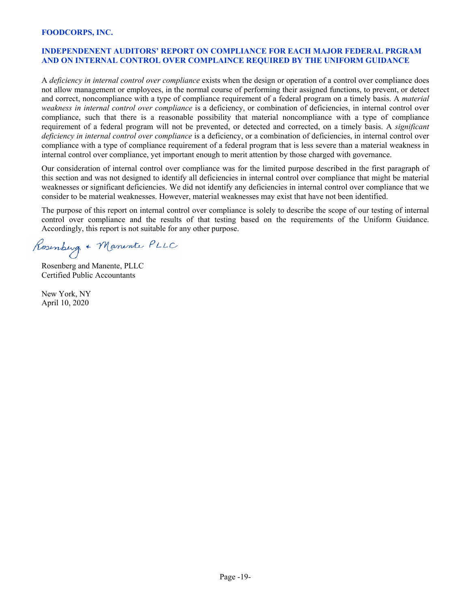#### **INDEPENDENENT AUDITORS' REPORT ON COMPLIANCE FOR EACH MAJOR FEDERAL PRGRAM AND ON INTERNAL CONTROL OVER COMPLAINCE REQUIRED BY THE UNIFORM GUIDANCE**

A *deficiency in internal control over compliance* exists when the design or operation of a control over compliance does not allow management or employees, in the normal course of performing their assigned functions, to prevent, or detect and correct, noncompliance with a type of compliance requirement of a federal program on a timely basis. A *material weakness in internal control over compliance* is a deficiency, or combination of deficiencies, in internal control over compliance, such that there is a reasonable possibility that material noncompliance with a type of compliance requirement of a federal program will not be prevented, or detected and corrected, on a timely basis. A *significant deficiency in internal control over compliance* is a deficiency, or a combination of deficiencies, in internal control over compliance with a type of compliance requirement of a federal program that is less severe than a material weakness in internal control over compliance, yet important enough to merit attention by those charged with governance.

Our consideration of internal control over compliance was for the limited purpose described in the first paragraph of this section and was not designed to identify all deficiencies in internal control over compliance that might be material weaknesses or significant deficiencies. We did not identify any deficiencies in internal control over compliance that we consider to be material weaknesses. However, material weaknesses may exist that have not been identified.

The purpose of this report on internal control over compliance is solely to describe the scope of our testing of internal control over compliance and the results of that testing based on the requirements of the Uniform Guidance. Accordingly, this report is not suitable for any other purpose.

Rosenberg + Manente PLLC

Rosenberg and Manente, PLLC Certified Public Accountants

New York, NY April 10, 2020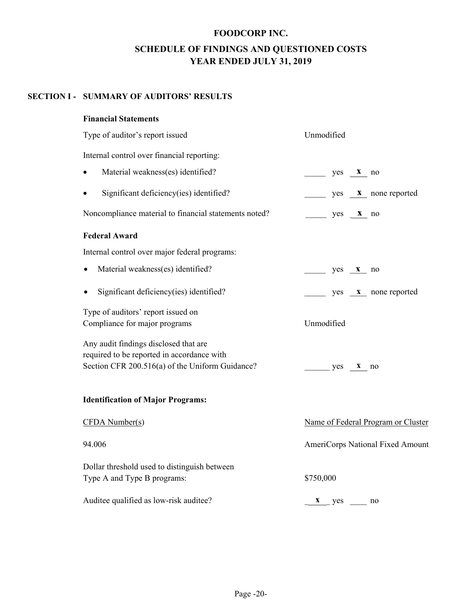# **FOODCORP INC. SCHEDULE OF FINDINGS AND QUESTIONED COSTS YEAR ENDED JULY 31, 2019**

# **SECTION I - SUMMARY OF AUDITORS' RESULTS**

# **Financial Statements**

| Type of auditor's report issued                                                                                                        | Unmodified                         |
|----------------------------------------------------------------------------------------------------------------------------------------|------------------------------------|
| Internal control over financial reporting:                                                                                             |                                    |
| Material weakness(es) identified?                                                                                                      | $yes \t x$ no                      |
| Significant deficiency(ies) identified?<br>$\bullet$                                                                                   | $yes \t x \t none reported$        |
| Noncompliance material to financial statements noted?                                                                                  | $yes \t x no$                      |
| <b>Federal Award</b>                                                                                                                   |                                    |
| Internal control over major federal programs:                                                                                          |                                    |
| Material weakness(es) identified?                                                                                                      | $yes \t x no$                      |
| Significant deficiency(ies) identified?                                                                                                | yes <b>x</b> none reported         |
| Type of auditors' report issued on<br>Compliance for major programs                                                                    | Unmodified                         |
| Any audit findings disclosed that are<br>required to be reported in accordance with<br>Section CFR 200.516(a) of the Uniform Guidance? | yes <b>x</b> no                    |
| <b>Identification of Major Programs:</b>                                                                                               |                                    |
| CFDA Number(s)                                                                                                                         | Name of Federal Program or Cluster |
| 94.006                                                                                                                                 | AmeriCorps National Fixed Amount   |
| Dollar threshold used to distinguish between<br>Type A and Type B programs:                                                            | \$750,000                          |
| Auditee qualified as low-risk auditee?                                                                                                 | $x$ yes $\frac{1}{x}$<br>no        |